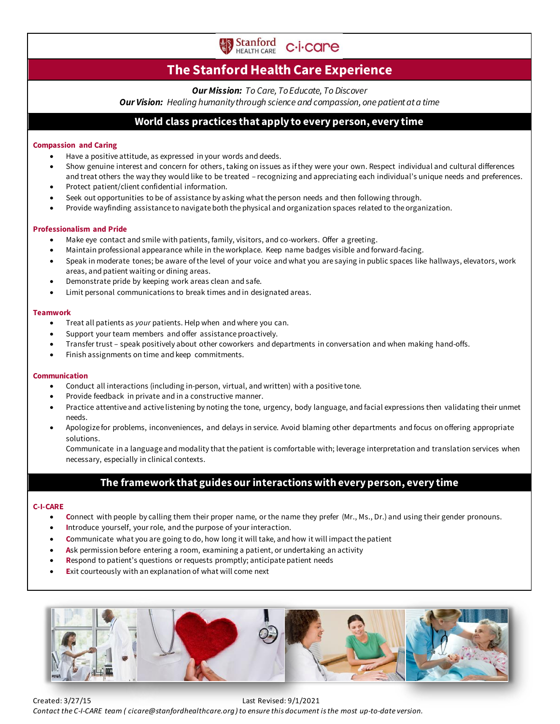

# **The Stanford Health Care Experience**

*Our Mission: To Care, To Educate, To Discover*

*Our Vision: Healing humanity through science and compassion, one patient at a time*

# **World class practices that apply to every person, every time**

### **Compassion and Caring**

- Have a positive attitude, as expressed in your words and deeds.
- Show genuine interest and concern for others, taking on issues as if they were your own. Respect individual and cultural differences and treat others the way they would like to be treated – recognizing and appreciating each individual's unique needs and preferences.
- Protect patient/client confidential information.
- Seek out opportunities to be of assistance by asking what the person needs and then following through.
- Provide wayfinding assistance to navigate both the physical and organization spaces related to the organization.

#### **Professionalism and Pride**

- Make eye contact and smile with patients, family, visitors, and co-workers. Offer a greeting.
- Maintain professional appearance while in the workplace. Keep name badges visible and forward-facing.
- Speak in moderate tones; be aware of the level of your voice and what you are saying in public spaces like hallways, elevators, work areas, and patient waiting or dining areas.
- Demonstrate pride by keeping work areas clean and safe.
- Limit personal communications to break times and in designated areas.

## **Teamwork**

- Treat all patients as *your* patients. Help when and where you can.
- Support your team members and offer assistance proactively.
- Transfer trust speak positively about other coworkers and departments in conversation and when making hand-offs.
- Finish assignments on time and keep commitments.

#### **Communication**

- Conduct all interactions (including in-person, virtual, and written) with a positive tone.
- Provide feedback in private and in a constructive manner.
- Practice attentive and active listening by noting the tone, urgency, body language, and facial expressions then validating their unmet needs.
- Apologize for problems, inconveniences, and delays in service. Avoid blaming other departments and focus on offering appropriate solutions.

Communicate in a language and modality that the patient is comfortable with; leverage interpretation and translation services when necessary, especially in clinical contexts.

# **The framework that guides our interactions with every person, every time**

## **C-I-CARE**

- **C**onnect with people by calling them their proper name, or the name they prefer (Mr., Ms., Dr.) and using their gender pronouns.
- **I**ntroduce yourself, your role, and the purpose of your interaction.
- **C**ommunicate what you are going to do, how long it will take, and how it will impact the patient
- Ask permission before entering a room, examining a patient, or undertaking an activity
- **Respond to patient's questions or requests promptly; anticipate patient needs**
- **Exit courteously with an explanation of what will come next**



Created: 3/27/15 Last Revised: 9/1/2021 *Contact the C-I-CARE team ( cicare@stanfordhealthcare.org ) to ensure this document is the most up-to-date version.*